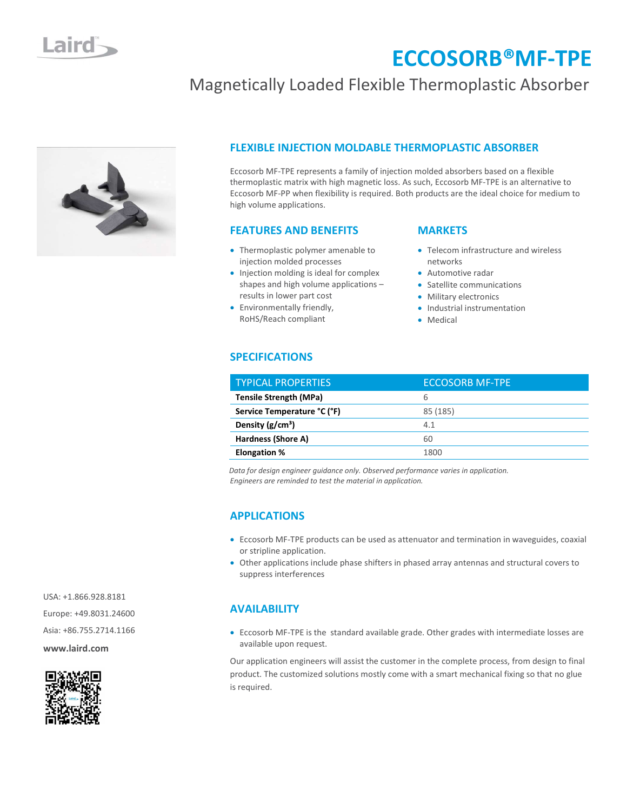

### FLEXIBLE INJECTION MOLDABLE THERMOPLASTIC ABSORBER

Magnetically Loaded Flexible Thermoplastic Absorber

Eccosorb MF-TPE represents a family of injection molded absorbers based on a flexible thermoplastic matrix with high magnetic loss. As such, Eccosorb MF-TPE is an alternative to Eccosorb MF-PP when flexibility is required. Both products are the ideal choice for medium to high volume applications.

#### FEATURES AND BENEFITS

- Thermoplastic polymer amenable to injection molded processes
- Injection molding is ideal for complex shapes and high volume applications – results in lower part cost
- Environmentally friendly, RoHS/Reach compliant

#### **MARKETS**

• Telecom infrastructure and wireless networks

ECCOSORB®MF-TPE

- Automotive radar
- Satellite communications
- Military electronics
- Industrial instrumentation
- Medical

#### SPECIFICATIONS

| <b>TYPICAL PROPERTIES</b>     | <b>ECCOSORB MF-TPE</b> |
|-------------------------------|------------------------|
| <b>Tensile Strength (MPa)</b> | 6                      |
| Service Temperature °C (°F)   | 85 (185)               |
| Density $(g/cm^3)$            | 4.1                    |
| Hardness (Shore A)            | 60                     |
| <b>Elongation %</b>           | 1800                   |

Data for design engineer guidance only. Observed performance varies in application. Engineers are reminded to test the material in application.

#### APPLICATIONS

- Eccosorb MF-TPE products can be used as attenuator and termination in waveguides, coaxial or stripline application.
- Other applications include phase shifters in phased array antennas and structural covers to suppress interferences

#### AVAILABILITY

 Eccosorb MF-TPE is the standard available grade. Other grades with intermediate losses are available upon request.

Our application engineers will assist the customer in the complete process, from design to final product. The customized solutions mostly come with a smart mechanical fixing so that no glue is required.

 USA: +1.866.928.8181 Europe: +49.8031.24600 Asia: +86.755.2714.1166 www.laird.com